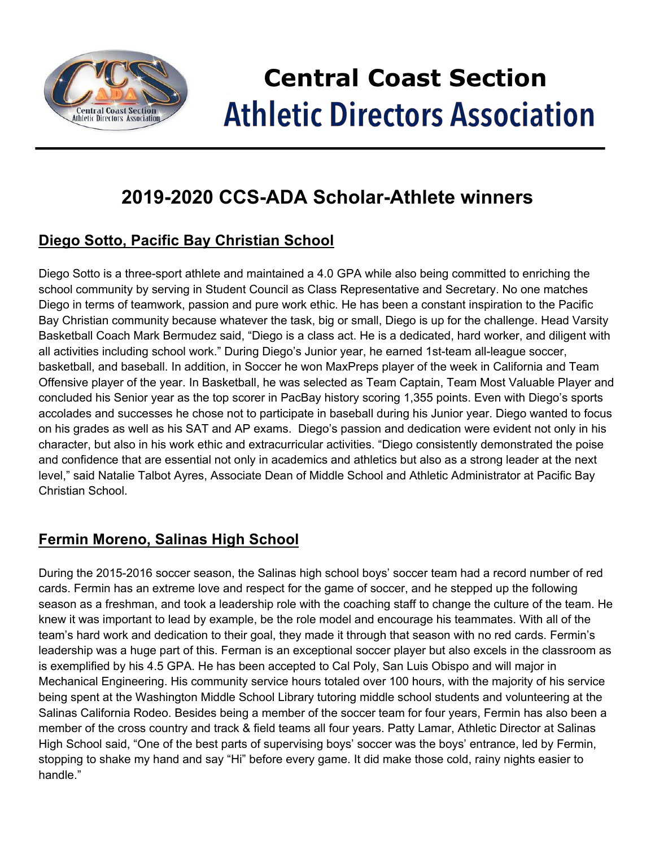

# **Central Coast Section Athletic Directors Association**

### **2019-2020 CCS-ADA Scholar-Athlete winners**

#### **Diego Sotto, Pacific Bay Christian School**

Diego Sotto is a three-sport athlete and maintained a 4.0 GPA while also being committed to enriching the school community by serving in Student Council as Class Representative and Secretary. No one matches Diego in terms of teamwork, passion and pure work ethic. He has been a constant inspiration to the Pacific Bay Christian community because whatever the task, big or small, Diego is up for the challenge. Head Varsity Basketball Coach Mark Bermudez said, "Diego is a class act. He is a dedicated, hard worker, and diligent with all activities including school work." During Diego's Junior year, he earned 1st-team all-league soccer, basketball, and baseball. In addition, in Soccer he won MaxPreps player of the week in California and Team Offensive player of the year. In Basketball, he was selected as Team Captain, Team Most Valuable Player and concluded his Senior year as the top scorer in PacBay history scoring 1,355 points. Even with Diego's sports accolades and successes he chose not to participate in baseball during his Junior year. Diego wanted to focus on his grades as well as his SAT and AP exams. Diego's passion and dedication were evident not only in his character, but also in his work ethic and extracurricular activities. "Diego consistently demonstrated the poise and confidence that are essential not only in academics and athletics but also as a strong leader at the next level," said Natalie Talbot Ayres, Associate Dean of Middle School and Athletic Administrator at Pacific Bay Christian School.

#### **Fermin Moreno, Salinas High School**

During the 2015-2016 soccer season, the Salinas high school boys' soccer team had a record number of red cards. Fermin has an extreme love and respect for the game of soccer, and he stepped up the following season as a freshman, and took a leadership role with the coaching staff to change the culture of the team. He knew it was important to lead by example, be the role model and encourage his teammates. With all of the team's hard work and dedication to their goal, they made it through that season with no red cards. Fermin's leadership was a huge part of this. Ferman is an exceptional soccer player but also excels in the classroom as is exemplified by his 4.5 GPA. He has been accepted to Cal Poly, San Luis Obispo and will major in Mechanical Engineering. His community service hours totaled over 100 hours, with the majority of his service being spent at the Washington Middle School Library tutoring middle school students and volunteering at the Salinas California Rodeo. Besides being a member of the soccer team for four years, Fermin has also been a member of the cross country and track & field teams all four years. Patty Lamar, Athletic Director at Salinas High School said, "One of the best parts of supervising boys' soccer was the boys' entrance, led by Fermin, stopping to shake my hand and say "Hi" before every game. It did make those cold, rainy nights easier to handle."